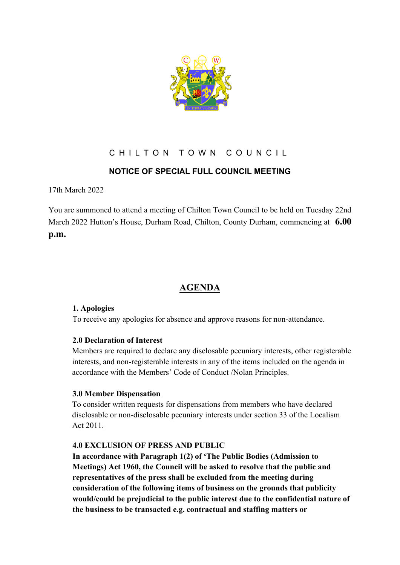

## CHILTON TOWN COUNCIL

## **NOTICE OF SPECIAL FULL COUNCIL MEETING**

17th March 2022

You are summoned to attend a meeting of Chilton Town Council to be held on Tuesday 22nd March 2022 Hutton's House, Durham Road, Chilton, County Durham, commencing at **6.00 p.m.**

# **AGENDA**

#### **1. Apologies**

To receive any apologies for absence and approve reasons for non-attendance.

### **2.0 Declaration of Interest**

Members are required to declare any disclosable pecuniary interests, other registerable interests, and non-registerable interests in any of the items included on the agenda in accordance with the Members' Code of Conduct /Nolan Principles.

### **3.0 Member Dispensation**

To consider written requests for dispensations from members who have declared disclosable or non-disclosable pecuniary interests under section 33 of the Localism Act 2011.

#### **4.0 EXCLUSION OF PRESS AND PUBLIC**

**In accordance with Paragraph 1(2) of 'The Public Bodies (Admission to Meetings) Act 1960, the Council will be asked to resolve that the public and representatives of the press shall be excluded from the meeting during consideration of the following items of business on the grounds that publicity would/could be prejudicial to the public interest due to the confidential nature of the business to be transacted e.g. contractual and staffing matters or**